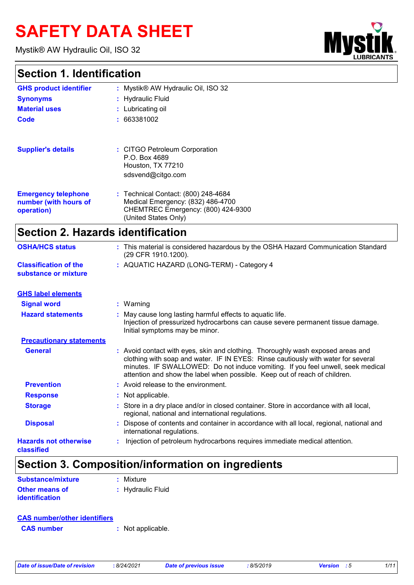# **SAFETY DATA SHEET**

Mystik® AW Hydraulic Oil, ISO 32

# **Mys**

## **Section 1. Identification**

| <b>GHS product identifier</b>                                     | : Mystik® AW Hydraulic Oil, ISO 32                                                                                                     |
|-------------------------------------------------------------------|----------------------------------------------------------------------------------------------------------------------------------------|
| <b>Synonyms</b>                                                   | : Hydraulic Fluid                                                                                                                      |
| <b>Material uses</b>                                              | : Lubricating oil                                                                                                                      |
| Code                                                              | : 663381002                                                                                                                            |
|                                                                   |                                                                                                                                        |
| <b>Supplier's details</b>                                         | : CITGO Petroleum Corporation<br>P.O. Box 4689<br>Houston, TX 77210<br>sdsvend@citgo.com                                               |
| <b>Emergency telephone</b><br>number (with hours of<br>operation) | : Technical Contact: (800) 248-4684<br>Medical Emergency: (832) 486-4700<br>CHEMTREC Emergency: (800) 424-9300<br>(United States Only) |

## **Section 2. Hazards identification**

| <b>OSHA/HCS status</b>                               | : This material is considered hazardous by the OSHA Hazard Communication Standard<br>(29 CFR 1910.1200).                                                                                                                                                                                                                              |
|------------------------------------------------------|---------------------------------------------------------------------------------------------------------------------------------------------------------------------------------------------------------------------------------------------------------------------------------------------------------------------------------------|
| <b>Classification of the</b><br>substance or mixture | : AQUATIC HAZARD (LONG-TERM) - Category 4                                                                                                                                                                                                                                                                                             |
| <b>GHS label elements</b>                            |                                                                                                                                                                                                                                                                                                                                       |
| <b>Signal word</b>                                   | $:$ Warning                                                                                                                                                                                                                                                                                                                           |
| <b>Hazard statements</b>                             | May cause long lasting harmful effects to aquatic life.<br>Injection of pressurized hydrocarbons can cause severe permanent tissue damage.<br>Initial symptoms may be minor.                                                                                                                                                          |
| <b>Precautionary statements</b>                      |                                                                                                                                                                                                                                                                                                                                       |
| <b>General</b>                                       | : Avoid contact with eyes, skin and clothing. Thoroughly wash exposed areas and<br>clothing with soap and water. IF IN EYES: Rinse cautiously with water for several<br>minutes. IF SWALLOWED: Do not induce vomiting. If you feel unwell, seek medical<br>attention and show the label when possible. Keep out of reach of children. |
| <b>Prevention</b>                                    | : Avoid release to the environment.                                                                                                                                                                                                                                                                                                   |
| <b>Response</b>                                      | : Not applicable.                                                                                                                                                                                                                                                                                                                     |
| <b>Storage</b>                                       | Store in a dry place and/or in closed container. Store in accordance with all local,<br>regional, national and international regulations.                                                                                                                                                                                             |
| <b>Disposal</b>                                      | Dispose of contents and container in accordance with all local, regional, national and<br>international regulations.                                                                                                                                                                                                                  |
| <b>Hazards not otherwise</b><br>classified           | Injection of petroleum hydrocarbons requires immediate medical attention.                                                                                                                                                                                                                                                             |

## **Section 3. Composition/information on ingredients**

| Substance/mixture     | $:$ Mixture       |
|-----------------------|-------------------|
| <b>Other means of</b> | : Hydraulic Fluid |
| <b>identification</b> |                   |

| <b>CAS number/other identifiers</b> |                   |
|-------------------------------------|-------------------|
| <b>CAS</b> number                   | : Not applicable. |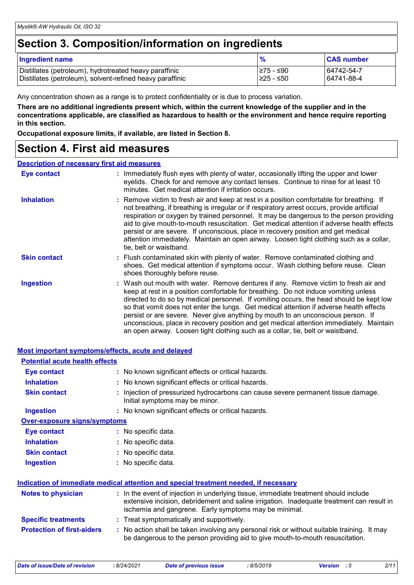## **Section 3. Composition/information on ingredients**

| <b>Ingredient name</b>                                    | %          | <b>CAS number</b> |
|-----------------------------------------------------------|------------|-------------------|
| Distillates (petroleum), hydrotreated heavy paraffinic    | I≥75 - ≤90 | 64742-54-7        |
| Distillates (petroleum), solvent-refined heavy paraffinic | I≥25 - ≤50 | 64741-88-4        |

Any concentration shown as a range is to protect confidentiality or is due to process variation.

**There are no additional ingredients present which, within the current knowledge of the supplier and in the concentrations applicable, are classified as hazardous to health or the environment and hence require reporting in this section.**

**Occupational exposure limits, if available, are listed in Section 8.**

## **Section 4. First aid measures**

#### **Description of necessary first aid measures**

| Eye contact         | : Immediately flush eyes with plenty of water, occasionally lifting the upper and lower<br>eyelids. Check for and remove any contact lenses. Continue to rinse for at least 10<br>minutes. Get medical attention if irritation occurs.                                                                                                                                                                                                                                                                                                                                                                                             |
|---------------------|------------------------------------------------------------------------------------------------------------------------------------------------------------------------------------------------------------------------------------------------------------------------------------------------------------------------------------------------------------------------------------------------------------------------------------------------------------------------------------------------------------------------------------------------------------------------------------------------------------------------------------|
| <b>Inhalation</b>   | : Remove victim to fresh air and keep at rest in a position comfortable for breathing. If<br>not breathing, if breathing is irregular or if respiratory arrest occurs, provide artificial<br>respiration or oxygen by trained personnel. It may be dangerous to the person providing<br>aid to give mouth-to-mouth resuscitation. Get medical attention if adverse health effects<br>persist or are severe. If unconscious, place in recovery position and get medical<br>attention immediately. Maintain an open airway. Loosen tight clothing such as a collar,<br>tie, belt or waistband.                                       |
| <b>Skin contact</b> | : Flush contaminated skin with plenty of water. Remove contaminated clothing and<br>shoes. Get medical attention if symptoms occur. Wash clothing before reuse. Clean<br>shoes thoroughly before reuse.                                                                                                                                                                                                                                                                                                                                                                                                                            |
| Ingestion           | : Wash out mouth with water. Remove dentures if any. Remove victim to fresh air and<br>keep at rest in a position comfortable for breathing. Do not induce vomiting unless<br>directed to do so by medical personnel. If vomiting occurs, the head should be kept low<br>so that vomit does not enter the lungs. Get medical attention if adverse health effects<br>persist or are severe. Never give anything by mouth to an unconscious person. If<br>unconscious, place in recovery position and get medical attention immediately. Maintain<br>an open airway. Loosen tight clothing such as a collar, tie, belt or waistband. |

| <b>Most important symptoms/effects, acute and delayed</b> |                                                                                                                                                                                                                                            |
|-----------------------------------------------------------|--------------------------------------------------------------------------------------------------------------------------------------------------------------------------------------------------------------------------------------------|
| <b>Potential acute health effects</b>                     |                                                                                                                                                                                                                                            |
| <b>Eye contact</b>                                        | : No known significant effects or critical hazards.                                                                                                                                                                                        |
| <b>Inhalation</b>                                         | : No known significant effects or critical hazards.                                                                                                                                                                                        |
| <b>Skin contact</b>                                       | Injection of pressurized hydrocarbons can cause severe permanent tissue damage.<br>Initial symptoms may be minor.                                                                                                                          |
| <b>Ingestion</b>                                          | : No known significant effects or critical hazards.                                                                                                                                                                                        |
| <b>Over-exposure signs/symptoms</b>                       |                                                                                                                                                                                                                                            |
| <b>Eye contact</b>                                        | : No specific data.                                                                                                                                                                                                                        |
| <b>Inhalation</b>                                         | : No specific data.                                                                                                                                                                                                                        |
| <b>Skin contact</b>                                       | : No specific data.                                                                                                                                                                                                                        |
| <b>Ingestion</b>                                          | : No specific data.                                                                                                                                                                                                                        |
|                                                           | Indication of immediate medical attention and special treatment needed, if necessary                                                                                                                                                       |
| <b>Notes to physician</b>                                 | : In the event of injection in underlying tissue, immediate treatment should include<br>extensive incision, debridement and saline irrigation. Inadequate treatment can result in<br>ischemia and gangrene. Early symptoms may be minimal. |
| <b>Specific treatments</b>                                | : Treat symptomatically and supportively.                                                                                                                                                                                                  |
| <b>Protection of first-aiders</b>                         | : No action shall be taken involving any personal risk or without suitable training. It may<br>be dangerous to the person providing aid to give mouth-to-mouth resuscitation.                                                              |
|                                                           |                                                                                                                                                                                                                                            |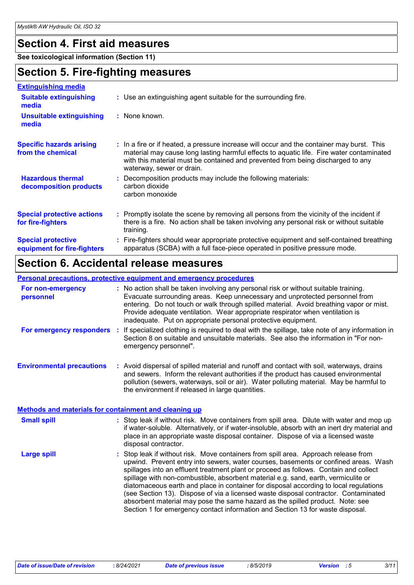## **Section 4. First aid measures**

**See toxicological information (Section 11)**

## **Section 5. Fire-fighting measures**

| <b>Extinguishing media</b>                               |                                                                                                                                                                                                                                                                                                        |
|----------------------------------------------------------|--------------------------------------------------------------------------------------------------------------------------------------------------------------------------------------------------------------------------------------------------------------------------------------------------------|
| <b>Suitable extinguishing</b><br>media                   | : Use an extinguishing agent suitable for the surrounding fire.                                                                                                                                                                                                                                        |
| <b>Unsuitable extinguishing</b><br>media                 | : None known.                                                                                                                                                                                                                                                                                          |
| <b>Specific hazards arising</b><br>from the chemical     | : In a fire or if heated, a pressure increase will occur and the container may burst. This<br>material may cause long lasting harmful effects to aquatic life. Fire water contaminated<br>with this material must be contained and prevented from being discharged to any<br>waterway, sewer or drain. |
| <b>Hazardous thermal</b><br>decomposition products       | Decomposition products may include the following materials:<br>carbon dioxide<br>carbon monoxide                                                                                                                                                                                                       |
| <b>Special protective actions</b><br>for fire-fighters   | : Promptly isolate the scene by removing all persons from the vicinity of the incident if<br>there is a fire. No action shall be taken involving any personal risk or without suitable<br>training.                                                                                                    |
| <b>Special protective</b><br>equipment for fire-fighters | : Fire-fighters should wear appropriate protective equipment and self-contained breathing<br>apparatus (SCBA) with a full face-piece operated in positive pressure mode.                                                                                                                               |

## **Section 6. Accidental release measures**

#### **Personal precautions, protective equipment and emergency procedures**

| For non-emergency<br>personnel                               |    | : No action shall be taken involving any personal risk or without suitable training.<br>Evacuate surrounding areas. Keep unnecessary and unprotected personnel from<br>entering. Do not touch or walk through spilled material. Avoid breathing vapor or mist.<br>Provide adequate ventilation. Wear appropriate respirator when ventilation is<br>inadequate. Put on appropriate personal protective equipment.                                                                                                                                                                                                                                                                                             |
|--------------------------------------------------------------|----|--------------------------------------------------------------------------------------------------------------------------------------------------------------------------------------------------------------------------------------------------------------------------------------------------------------------------------------------------------------------------------------------------------------------------------------------------------------------------------------------------------------------------------------------------------------------------------------------------------------------------------------------------------------------------------------------------------------|
| For emergency responders                                     | ÷. | If specialized clothing is required to deal with the spillage, take note of any information in<br>Section 8 on suitable and unsuitable materials. See also the information in "For non-<br>emergency personnel".                                                                                                                                                                                                                                                                                                                                                                                                                                                                                             |
| <b>Environmental precautions</b>                             |    | : Avoid dispersal of spilled material and runoff and contact with soil, waterways, drains<br>and sewers. Inform the relevant authorities if the product has caused environmental<br>pollution (sewers, waterways, soil or air). Water polluting material. May be harmful to<br>the environment if released in large quantities.                                                                                                                                                                                                                                                                                                                                                                              |
| <b>Methods and materials for containment and cleaning up</b> |    |                                                                                                                                                                                                                                                                                                                                                                                                                                                                                                                                                                                                                                                                                                              |
| <b>Small spill</b>                                           |    | : Stop leak if without risk. Move containers from spill area. Dilute with water and mop up<br>if water-soluble. Alternatively, or if water-insoluble, absorb with an inert dry material and<br>place in an appropriate waste disposal container. Dispose of via a licensed waste<br>disposal contractor.                                                                                                                                                                                                                                                                                                                                                                                                     |
| <b>Large spill</b>                                           |    | : Stop leak if without risk. Move containers from spill area. Approach release from<br>upwind. Prevent entry into sewers, water courses, basements or confined areas. Wash<br>spillages into an effluent treatment plant or proceed as follows. Contain and collect<br>spillage with non-combustible, absorbent material e.g. sand, earth, vermiculite or<br>diatomaceous earth and place in container for disposal according to local regulations<br>(see Section 13). Dispose of via a licensed waste disposal contractor. Contaminated<br>absorbent material may pose the same hazard as the spilled product. Note: see<br>Section 1 for emergency contact information and Section 13 for waste disposal. |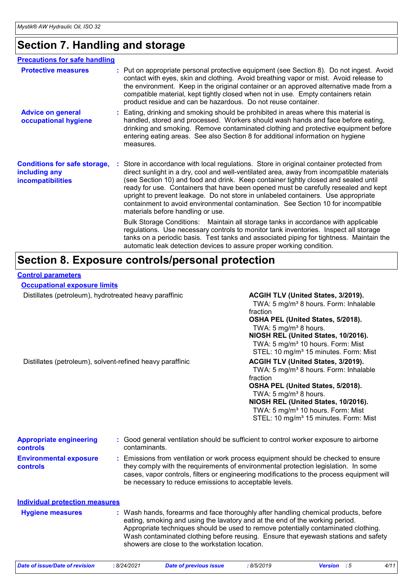## **Section 7. Handling and storage**

| <b>Precautions for safe handling</b>                                             |                                                                                                                                                                                                                                                                                                                                                                                                                                                                                                                                                                                    |
|----------------------------------------------------------------------------------|------------------------------------------------------------------------------------------------------------------------------------------------------------------------------------------------------------------------------------------------------------------------------------------------------------------------------------------------------------------------------------------------------------------------------------------------------------------------------------------------------------------------------------------------------------------------------------|
| <b>Protective measures</b>                                                       | : Put on appropriate personal protective equipment (see Section 8). Do not ingest. Avoid<br>contact with eyes, skin and clothing. Avoid breathing vapor or mist. Avoid release to<br>the environment. Keep in the original container or an approved alternative made from a<br>compatible material, kept tightly closed when not in use. Empty containers retain<br>product residue and can be hazardous. Do not reuse container.                                                                                                                                                  |
| <b>Advice on general</b><br>occupational hygiene                                 | : Eating, drinking and smoking should be prohibited in areas where this material is<br>handled, stored and processed. Workers should wash hands and face before eating,<br>drinking and smoking. Remove contaminated clothing and protective equipment before<br>entering eating areas. See also Section 8 for additional information on hygiene<br>measures.                                                                                                                                                                                                                      |
| <b>Conditions for safe storage,</b><br>including any<br><b>incompatibilities</b> | : Store in accordance with local regulations. Store in original container protected from<br>direct sunlight in a dry, cool and well-ventilated area, away from incompatible materials<br>(see Section 10) and food and drink. Keep container tightly closed and sealed until<br>ready for use. Containers that have been opened must be carefully resealed and kept<br>upright to prevent leakage. Do not store in unlabeled containers. Use appropriate<br>containment to avoid environmental contamination. See Section 10 for incompatible<br>materials before handling or use. |
|                                                                                  | Bulk Storage Conditions: Maintain all storage tanks in accordance with applicable<br>regulations. Use necessary controls to monitor tank inventories. Inspect all storage<br>tanks on a periodic basis. Test tanks and associated piping for tightness. Maintain the<br>automatic leak detection devices to assure proper working condition.                                                                                                                                                                                                                                       |

## **Section 8. Exposure controls/personal protection**

#### **Control parameters**

**Occupational exposure limits**

Distillates (petroleum), hydrotreated heavy paraffinic **ACGIH TLV (United States, 3/2019).** 

TWA: 5 mg/m<sup>3</sup> 8 hours. Form: Inhalable fraction

#### **OSHA PEL (United States, 5/2018).** TWA:  $5 \text{ mg/m}^3$  8 hours.

**NIOSH REL (United States, 10/2016).** TWA: 5 mg/m<sup>3</sup> 10 hours. Form: Mist STEL: 10 mg/m<sup>3</sup> 15 minutes. Form: Mist

Distillates (petroleum), solvent-refined heavy paraffinic **ACGIH TLV (United States, 3/2019).** 

TWA: 5 mg/m<sup>3</sup> 8 hours. Form: Inhalable fraction

## **OSHA PEL (United States, 5/2018).**

TWA:  $5 \text{ mg/m}^3$  8 hours.

## **NIOSH REL (United States, 10/2016).**

TWA: 5 mg/m<sup>3</sup> 10 hours. Form: Mist STEL: 10 mg/m<sup>3</sup> 15 minutes. Form: Mist

| <b>Appropriate engineering</b><br><b>controls</b> | : Good general ventilation should be sufficient to control worker exposure to airborne<br>contaminants.                                                                                                                                                                                                                                                                                           |
|---------------------------------------------------|---------------------------------------------------------------------------------------------------------------------------------------------------------------------------------------------------------------------------------------------------------------------------------------------------------------------------------------------------------------------------------------------------|
| <b>Environmental exposure</b><br><b>controls</b>  | Emissions from ventilation or work process equipment should be checked to ensure<br>they comply with the requirements of environmental protection legislation. In some<br>cases, vapor controls, filters or engineering modifications to the process equipment will<br>be necessary to reduce emissions to acceptable levels.                                                                     |
| <b>Individual protection measures</b>             |                                                                                                                                                                                                                                                                                                                                                                                                   |
| <b>Hygiene measures</b>                           | : Wash hands, forearms and face thoroughly after handling chemical products, before<br>eating, smoking and using the lavatory and at the end of the working period.<br>Appropriate techniques should be used to remove potentially contaminated clothing.<br>Wash contaminated clothing before reusing. Ensure that eyewash stations and safety<br>showers are close to the workstation location. |

| Date of issue/Date of revision | :8/24/2021 |
|--------------------------------|------------|
|--------------------------------|------------|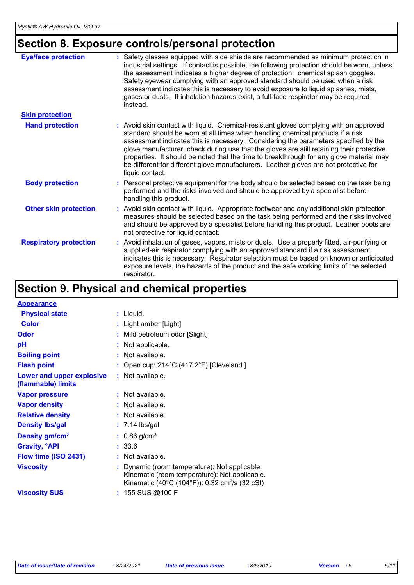## **Section 8. Exposure controls/personal protection**

| <b>Eye/face protection</b>    | : Safety glasses equipped with side shields are recommended as minimum protection in<br>industrial settings. If contact is possible, the following protection should be worn, unless<br>the assessment indicates a higher degree of protection: chemical splash goggles.<br>Safety eyewear complying with an approved standard should be used when a risk<br>assessment indicates this is necessary to avoid exposure to liquid splashes, mists,<br>gases or dusts. If inhalation hazards exist, a full-face respirator may be required<br>instead.                 |
|-------------------------------|---------------------------------------------------------------------------------------------------------------------------------------------------------------------------------------------------------------------------------------------------------------------------------------------------------------------------------------------------------------------------------------------------------------------------------------------------------------------------------------------------------------------------------------------------------------------|
| <b>Skin protection</b>        |                                                                                                                                                                                                                                                                                                                                                                                                                                                                                                                                                                     |
| <b>Hand protection</b>        | : Avoid skin contact with liquid. Chemical-resistant gloves complying with an approved<br>standard should be worn at all times when handling chemical products if a risk<br>assessment indicates this is necessary. Considering the parameters specified by the<br>glove manufacturer, check during use that the gloves are still retaining their protective<br>properties. It should be noted that the time to breakthrough for any glove material may<br>be different for different glove manufacturers. Leather gloves are not protective for<br>liquid contact. |
| <b>Body protection</b>        | : Personal protective equipment for the body should be selected based on the task being<br>performed and the risks involved and should be approved by a specialist before<br>handling this product.                                                                                                                                                                                                                                                                                                                                                                 |
| <b>Other skin protection</b>  | : Avoid skin contact with liquid. Appropriate footwear and any additional skin protection<br>measures should be selected based on the task being performed and the risks involved<br>and should be approved by a specialist before handling this product. Leather boots are<br>not protective for liquid contact.                                                                                                                                                                                                                                                   |
| <b>Respiratory protection</b> | : Avoid inhalation of gases, vapors, mists or dusts. Use a properly fitted, air-purifying or<br>supplied-air respirator complying with an approved standard if a risk assessment<br>indicates this is necessary. Respirator selection must be based on known or anticipated<br>exposure levels, the hazards of the product and the safe working limits of the selected<br>respirator.                                                                                                                                                                               |

## **Section 9. Physical and chemical properties**

| <b>Appearance</b>                               |                                                                                                                                                            |
|-------------------------------------------------|------------------------------------------------------------------------------------------------------------------------------------------------------------|
| <b>Physical state</b>                           | $:$ Liquid.                                                                                                                                                |
| <b>Color</b>                                    | : Light amber [Light]                                                                                                                                      |
| Odor                                            | Mild petroleum odor [Slight]                                                                                                                               |
| рH                                              | Not applicable.                                                                                                                                            |
| <b>Boiling point</b>                            | : Not available.                                                                                                                                           |
| <b>Flash point</b>                              | Open cup: 214°C (417.2°F) [Cleveland.]                                                                                                                     |
| Lower and upper explosive<br>(flammable) limits | $:$ Not available.                                                                                                                                         |
| <b>Vapor pressure</b>                           | $:$ Not available.                                                                                                                                         |
| <b>Vapor density</b>                            | $:$ Not available.                                                                                                                                         |
| <b>Relative density</b>                         | $:$ Not available.                                                                                                                                         |
| <b>Density Ibs/gal</b>                          | $: 7.14$ lbs/gal                                                                                                                                           |
| Density gm/cm <sup>3</sup>                      | $: 0.86$ g/cm <sup>3</sup>                                                                                                                                 |
| <b>Gravity, <sup>o</sup>API</b>                 | : 33.6                                                                                                                                                     |
| Flow time (ISO 2431)                            | $:$ Not available.                                                                                                                                         |
| <b>Viscosity</b>                                | Dynamic (room temperature): Not applicable.<br>Kinematic (room temperature): Not applicable.<br>Kinematic (40°C (104°F)): 0.32 cm <sup>2</sup> /s (32 cSt) |
| <b>Viscosity SUS</b>                            | : 155 SUS @100 F                                                                                                                                           |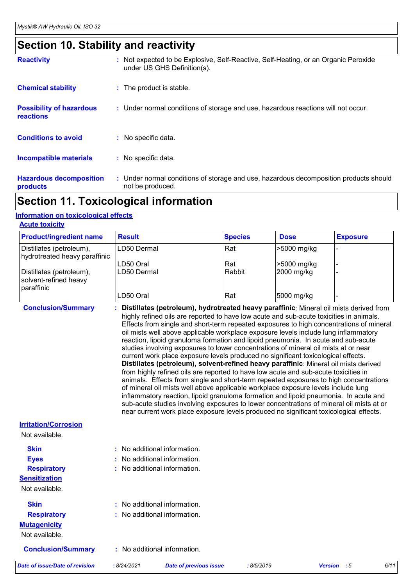## **Section 10. Stability and reactivity**

| <b>Reactivity</b>                                   | : Not expected to be Explosive, Self-Reactive, Self-Heating, or an Organic Peroxide<br>under US GHS Definition(s). |
|-----------------------------------------------------|--------------------------------------------------------------------------------------------------------------------|
| <b>Chemical stability</b>                           | : The product is stable.                                                                                           |
| <b>Possibility of hazardous</b><br><b>reactions</b> | : Under normal conditions of storage and use, hazardous reactions will not occur.                                  |
| <b>Conditions to avoid</b>                          | : No specific data.                                                                                                |
| <b>Incompatible materials</b>                       | : No specific data.                                                                                                |
| <b>Hazardous decomposition</b><br>products          | : Under normal conditions of storage and use, hazardous decomposition products should<br>not be produced.          |

## **Section 11. Toxicological information**

#### **Information on toxicological effects**

| <b>Acute toxicity</b> |  |  |  |  |  |  |
|-----------------------|--|--|--|--|--|--|
|                       |  |  |  |  |  |  |

| <b>RUULU LUAIVILY</b>                                           |               |                |             |                 |
|-----------------------------------------------------------------|---------------|----------------|-------------|-----------------|
| <b>Product/ingredient name</b>                                  | <b>Result</b> | <b>Species</b> | <b>Dose</b> | <b>Exposure</b> |
| Distillates (petroleum),<br>hydrotreated heavy paraffinic       | LD50 Dermal   | Rat            | -5000 mg/kg |                 |
|                                                                 | LD50 Oral     | Rat            | >5000 mg/kg |                 |
| Distillates (petroleum),<br>solvent-refined heavy<br>paraffinic | LD50 Dermal   | Rabbit         | 2000 mg/kg  |                 |
|                                                                 | LD50 Oral     | Rat            | 5000 mg/kg  |                 |

**Conclusion/Summary : Distillates (petroleum), hydrotreated heavy paraffinic**: Mineral oil mists derived from highly refined oils are reported to have low acute and sub-acute toxicities in animals. Effects from single and short-term repeated exposures to high concentrations of mineral oil mists well above applicable workplace exposure levels include lung inflammatory reaction, lipoid granuloma formation and lipoid pneumonia. In acute and sub-acute studies involving exposures to lower concentrations of mineral oil mists at or near current work place exposure levels produced no significant toxicological effects. **Distillates (petroleum), solvent-refined heavy paraffinic**: Mineral oil mists derived from highly refined oils are reported to have low acute and sub-acute toxicities in animals. Effects from single and short-term repeated exposures to high concentrations of mineral oil mists well above applicable workplace exposure levels include lung inflammatory reaction, lipoid granuloma formation and lipoid pneumonia. In acute and sub-acute studies involving exposures to lower concentrations of mineral oil mists at or near current work place exposure levels produced no significant toxicological effects.

#### **Irritation/Corrosion**

Not available.

| <b>Skin</b>               | $\therefore$ No additional information. |
|---------------------------|-----------------------------------------|
| <b>Eyes</b>               | : No additional information.            |
| <b>Respiratory</b>        | : No additional information.            |
| <b>Sensitization</b>      |                                         |
| Not available.            |                                         |
| <b>Skin</b>               | : No additional information.            |
| <b>Respiratory</b>        | : No additional information.            |
| <b>Mutagenicity</b>       |                                         |
| Not available.            |                                         |
| <b>Conclusion/Summary</b> | : No additional information.            |

```
Date of issue/Date of revision : 8/24/2021 Date of previous issue : 8/5/2019 Version : 5 6/11
```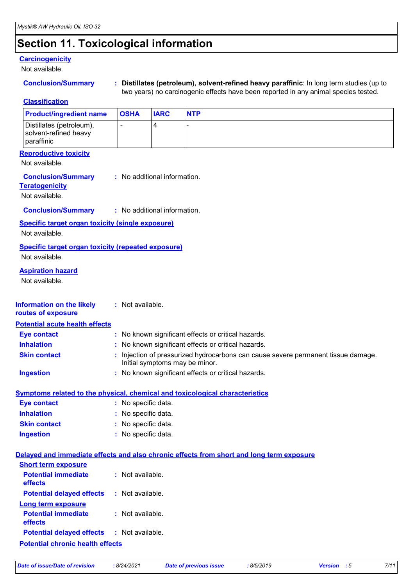## **Section 11. Toxicological information**

### **Carcinogenicity**

Not available.

| <b>Conclusion/Summary</b> |  |
|---------------------------|--|
|                           |  |

**Conclusion/Summary : Distillates (petroleum), solvent-refined heavy paraffinic**: In long term studies (up to two years) no carcinogenic effects have been reported in any animal species tested.

**Classification**

| <b>Product/ingredient name</b>                                                                       |                              | <b>OSHA</b>         | <b>IARC</b>                    | <b>NTP</b>                                                                               |  |  |  |  |  |  |
|------------------------------------------------------------------------------------------------------|------------------------------|---------------------|--------------------------------|------------------------------------------------------------------------------------------|--|--|--|--|--|--|
| Distillates (petroleum),<br>solvent-refined heavy<br>paraffinic                                      |                              |                     | 4                              |                                                                                          |  |  |  |  |  |  |
| <b>Reproductive toxicity</b><br>Not available.                                                       |                              |                     |                                |                                                                                          |  |  |  |  |  |  |
| <b>Conclusion/Summary</b><br>: No additional information.<br><b>Teratogenicity</b><br>Not available. |                              |                     |                                |                                                                                          |  |  |  |  |  |  |
| <b>Conclusion/Summary</b>                                                                            | : No additional information. |                     |                                |                                                                                          |  |  |  |  |  |  |
| <b>Specific target organ toxicity (single exposure)</b><br>Not available.                            |                              |                     |                                |                                                                                          |  |  |  |  |  |  |
| <b>Specific target organ toxicity (repeated exposure)</b><br>Not available.                          |                              |                     |                                |                                                                                          |  |  |  |  |  |  |
| <b>Aspiration hazard</b><br>Not available.                                                           |                              |                     |                                |                                                                                          |  |  |  |  |  |  |
| <b>Information on the likely</b><br>routes of exposure                                               |                              | : Not available.    |                                |                                                                                          |  |  |  |  |  |  |
| <b>Potential acute health effects</b>                                                                |                              |                     |                                |                                                                                          |  |  |  |  |  |  |
| <b>Eye contact</b>                                                                                   |                              |                     |                                | : No known significant effects or critical hazards.                                      |  |  |  |  |  |  |
| <b>Inhalation</b>                                                                                    |                              |                     |                                | : No known significant effects or critical hazards.                                      |  |  |  |  |  |  |
| <b>Skin contact</b>                                                                                  |                              |                     | Initial symptoms may be minor. | Injection of pressurized hydrocarbons can cause severe permanent tissue damage.          |  |  |  |  |  |  |
| <b>Ingestion</b>                                                                                     |                              |                     |                                | : No known significant effects or critical hazards.                                      |  |  |  |  |  |  |
| Symptoms related to the physical, chemical and toxicological characteristics                         |                              |                     |                                |                                                                                          |  |  |  |  |  |  |
| <b>Eye contact</b>                                                                                   |                              | : No specific data. |                                |                                                                                          |  |  |  |  |  |  |
| <b>Inhalation</b>                                                                                    |                              | : No specific data. |                                |                                                                                          |  |  |  |  |  |  |
| <b>Skin contact</b>                                                                                  |                              | : No specific data. |                                |                                                                                          |  |  |  |  |  |  |
| <b>Ingestion</b>                                                                                     |                              | : No specific data. |                                |                                                                                          |  |  |  |  |  |  |
|                                                                                                      |                              |                     |                                | Delayed and immediate effects and also chronic effects from short and long term exposure |  |  |  |  |  |  |
| <b>Short term exposure</b>                                                                           |                              |                     |                                |                                                                                          |  |  |  |  |  |  |
| <b>Potential immediate</b><br>effects                                                                |                              | : Not available.    |                                |                                                                                          |  |  |  |  |  |  |
| <b>Potential delayed effects</b>                                                                     |                              | : Not available.    |                                |                                                                                          |  |  |  |  |  |  |
| <b>Long term exposure</b><br><b>Potential immediate</b><br>effects                                   |                              | : Not available.    |                                |                                                                                          |  |  |  |  |  |  |
| <b>Potential delayed effects</b>                                                                     |                              | : Not available.    |                                |                                                                                          |  |  |  |  |  |  |
| <b>Potential chronic health effects</b>                                                              |                              |                     |                                |                                                                                          |  |  |  |  |  |  |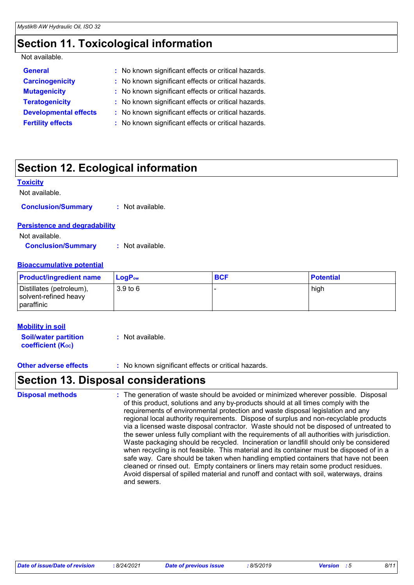## **Section 11. Toxicological information**

#### Not available.

| <b>General</b>               | : No known significant effects or critical hazards. |
|------------------------------|-----------------------------------------------------|
| <b>Carcinogenicity</b>       | : No known significant effects or critical hazards. |
| <b>Mutagenicity</b>          | : No known significant effects or critical hazards. |
| <b>Teratogenicity</b>        | : No known significant effects or critical hazards. |
| <b>Developmental effects</b> | : No known significant effects or critical hazards. |
| <b>Fertility effects</b>     | : No known significant effects or critical hazards. |

## **Section 12. Ecological information**

#### **Toxicity**

| Not available.                       |                  |
|--------------------------------------|------------------|
| <b>Conclusion/Summary</b>            | : Not available. |
| <b>Persistence and degradability</b> |                  |
| Not available.                       |                  |

**Conclusion/Summary :** Not available.

#### **Bioaccumulative potential**

| <b>Product/ingredient name</b>                                  | $\mathsf{LogP}_\mathsf{ow}$ | <b>BCF</b> | <b>Potential</b> |
|-----------------------------------------------------------------|-----------------------------|------------|------------------|
| Distillates (petroleum),<br>solvent-refined heavy<br>paraffinic | 3.9 <sub>to</sub> 6         |            | high             |

#### **Mobility in soil**

**Soil/water partition coefficient (KOC) :** Not available.

**Other adverse effects** : No known significant effects or critical hazards.

## **Section 13. Disposal considerations**

The generation of waste should be avoided or minimized wherever possible. Disposal of this product, solutions and any by-products should at all times comply with the requirements of environmental protection and waste disposal legislation and any regional local authority requirements. Dispose of surplus and non-recyclable products via a licensed waste disposal contractor. Waste should not be disposed of untreated to the sewer unless fully compliant with the requirements of all authorities with jurisdiction. Waste packaging should be recycled. Incineration or landfill should only be considered when recycling is not feasible. This material and its container must be disposed of in a safe way. Care should be taken when handling emptied containers that have not been cleaned or rinsed out. Empty containers or liners may retain some product residues. Avoid dispersal of spilled material and runoff and contact with soil, waterways, drains and sewers. **Disposal methods :**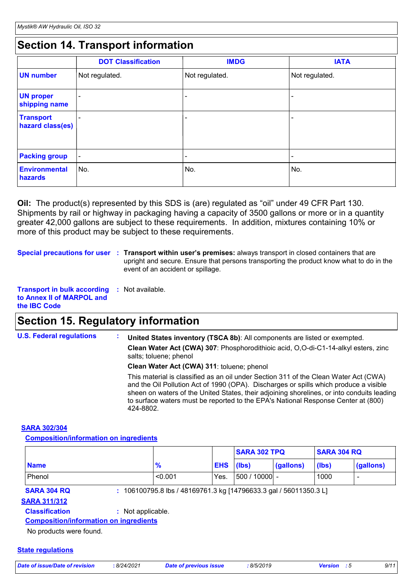## **Section 14. Transport information**

|                                      | <b>DOT Classification</b> | <b>IMDG</b>              | <b>IATA</b>              |
|--------------------------------------|---------------------------|--------------------------|--------------------------|
| <b>UN number</b>                     | Not regulated.            | Not regulated.           | Not regulated.           |
| <b>UN proper</b><br>shipping name    | $\overline{\phantom{0}}$  | ۰                        | ٠                        |
| <b>Transport</b><br>hazard class(es) | $\overline{\phantom{0}}$  | $\overline{\phantom{0}}$ | $\overline{\phantom{0}}$ |
| <b>Packing group</b>                 | $\overline{\phantom{a}}$  | $\overline{\phantom{a}}$ | $\overline{\phantom{a}}$ |
| <b>Environmental</b><br>hazards      | ∣No.                      | No.                      | No.                      |

**Oil:** The product(s) represented by this SDS is (are) regulated as "oil" under 49 CFR Part 130. Shipments by rail or highway in packaging having a capacity of 3500 gallons or more or in a quantity greater 42,000 gallons are subject to these requirements. In addition, mixtures containing 10% or more of this product may be subject to these requirements.

**Special precautions for user** : Transport within user's premises: always transport in closed containers that are upright and secure. Ensure that persons transporting the product know what to do in the event of an accident or spillage.

**Transport in bulk according :** Not available. **to Annex II of MARPOL and the IBC Code**

## **Section 15. Regulatory information**

**U.S. Federal regulations : Clean Water Act (CWA) 307**: Phosphorodithioic acid, O,O-di-C1-14-alkyl esters, zinc salts; toluene; phenol **Clean Water Act (CWA) 311**: toluene; phenol **United States inventory (TSCA 8b)**: All components are listed or exempted.

> This material is classified as an oil under Section 311 of the Clean Water Act (CWA) and the Oil Pollution Act of 1990 (OPA). Discharges or spills which produce a visible sheen on waters of the United States, their adjoining shorelines, or into conduits leading to surface waters must be reported to the EPA's National Response Center at (800) 424-8802.

#### **SARA 302/304**

**Composition/information on ingredients**

|               |      |  |                  |                                                     | <b>SARA 304 RQ</b> |  |
|---------------|------|--|------------------|-----------------------------------------------------|--------------------|--|
| $\frac{9}{6}$ |      |  |                  | (lbs)                                               | (gallons)          |  |
| < 0.001       | Yes. |  |                  | 1000                                                |                    |  |
|               |      |  | <b>EHS</b> (lbs) | <b>SARA 302 TPQ</b><br>(gallons)<br>$ 500/10000 $ - |                    |  |

**SARA 304 RQ :** 106100795.8 lbs / 48169761.3 kg [14796633.3 gal / 56011350.3 L]

### **SARA 311/312**

**Classification :** Not applicable.

**Composition/information on ingredients**

No products were found.

#### **State regulations**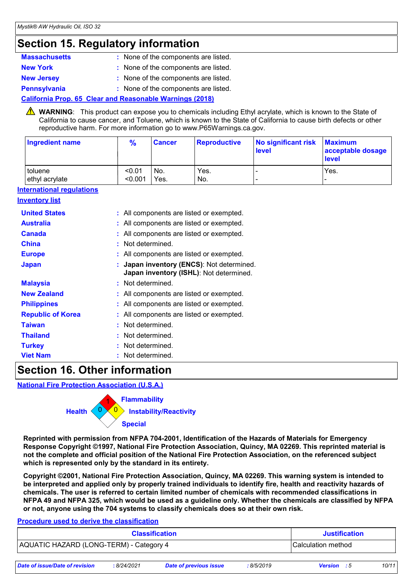## **Section 15. Regulatory information**

| <b>Massachusetts</b> | : None of the components are listed. |
|----------------------|--------------------------------------|
| <b>New York</b>      | : None of the components are listed. |
| <b>New Jersey</b>    | : None of the components are listed. |
| <b>Pennsylvania</b>  | : None of the components are listed. |

#### **California Prop. 65 Clear and Reasonable Warnings (2018)**

WARNING: This product can expose you to chemicals including Ethyl acrylate, which is known to the State of California to cause cancer, and Toluene, which is known to the State of California to cause birth defects or other reproductive harm. For more information go to www.P65Warnings.ca.gov.

| Ingredient name | $\frac{9}{6}$ | <b>Cancer</b> | Reproductive | No significant risk<br><b>level</b> | <b>Maximum</b><br>acceptable dosage<br><b>level</b> |
|-----------------|---------------|---------------|--------------|-------------------------------------|-----------------------------------------------------|
| toluene         | < 0.01        | No.           | Yes.         | -                                   | Yes.                                                |
| ethyl acrylate  | < 0.001       | Yes.          | No.          | $\overline{\phantom{0}}$            |                                                     |

#### **International regulations**

#### **Inventory list**

| <b>United States</b>     | : All components are listed or exempted.                                             |
|--------------------------|--------------------------------------------------------------------------------------|
| <b>Australia</b>         | : All components are listed or exempted.                                             |
| <b>Canada</b>            | : All components are listed or exempted.                                             |
| <b>China</b>             | : Not determined.                                                                    |
| <b>Europe</b>            | : All components are listed or exempted.                                             |
| <b>Japan</b>             | : Japan inventory (ENCS): Not determined.<br>Japan inventory (ISHL): Not determined. |
| <b>Malaysia</b>          | : Not determined.                                                                    |
| <b>New Zealand</b>       | : All components are listed or exempted.                                             |
| <b>Philippines</b>       | : All components are listed or exempted.                                             |
| <b>Republic of Korea</b> | : All components are listed or exempted.                                             |
| <b>Taiwan</b>            | : Not determined.                                                                    |
| <b>Thailand</b>          | : Not determined.                                                                    |
| <b>Turkey</b>            | : Not determined.                                                                    |
| <b>Viet Nam</b>          | : Not determined.                                                                    |

## **Section 16. Other information**

**National Fire Protection Association (U.S.A.)**



**Reprinted with permission from NFPA 704-2001, Identification of the Hazards of Materials for Emergency Response Copyright ©1997, National Fire Protection Association, Quincy, MA 02269. This reprinted material is not the complete and official position of the National Fire Protection Association, on the referenced subject which is represented only by the standard in its entirety.**

**Copyright ©2001, National Fire Protection Association, Quincy, MA 02269. This warning system is intended to be interpreted and applied only by properly trained individuals to identify fire, health and reactivity hazards of chemicals. The user is referred to certain limited number of chemicals with recommended classifications in NFPA 49 and NFPA 325, which would be used as a guideline only. Whether the chemicals are classified by NFPA or not, anyone using the 704 systems to classify chemicals does so at their own risk.**

#### **Procedure used to derive the classification**

| <b>Classification</b>                   | <b>Justification</b> |
|-----------------------------------------|----------------------|
| AQUATIC HAZARD (LONG-TERM) - Category 4 | Calculation method   |